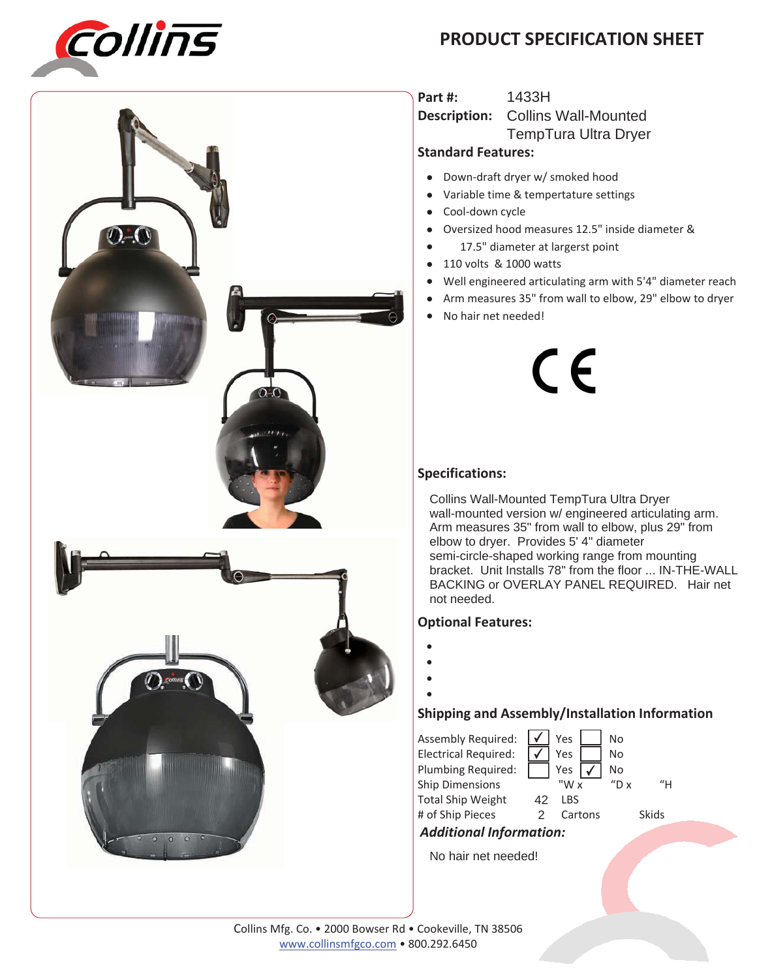## **PRODUCT SPECIFICATION SHEET**





1433H

**Description:** Collins Wall-Mounted TempTura Ultra Dryer

#### **Standard Features:**

**Part #:**

- Down-draft dryer w/ smoked hood
- Variable time & tempertature settings
- Cool-down cycle
- x Oversized hood measures 12.5" inside diameter &
- $\bullet$ 17.5" diameter at largerst point
- $\bullet$  110 volts & 1000 watts
- Well engineered articulating arm with 5'4" diameter reach
- Arm measures 35" from wall to elbow, 29" elbow to dryer
- No hair net needed!

# $C<sub>f</sub>$

### **Specifications:**

Collins Wall-Mounted TempTura Ultra Dryer wall-mounted version w/ engineered articulating arm. Arm measures 35" from wall to elbow, plus 29" from elbow to dryer. Provides 5' 4" diameter semi-circle-shaped working range from mounting bracket. Unit Installs 78" from the floor ... IN-THE-WALL BACKING or OVERLAY PANEL REQUIRED. Hair net not needed.

### **Optional Features:**

- $\bullet$
- $\bullet$  $\bullet$
- $\bullet$

### **Shipping and Assembly/Installation Information**

| Assembly Required:             |    | Yes     | No                    |              |
|--------------------------------|----|---------|-----------------------|--------------|
| <b>Electrical Required:</b>    |    | Yes     | No                    |              |
| Plumbing Required:             |    | Yes     | No                    |              |
| <b>Ship Dimensions</b>         |    | "W x    | $^{\prime\prime}$ D x | "н           |
| <b>Total Ship Weight</b>       | 42 | LBS     |                       |              |
| # of Ship Pieces               |    | Cartons |                       | <b>Skids</b> |
| <b>Additional Information:</b> |    |         |                       |              |

No hair net needed!